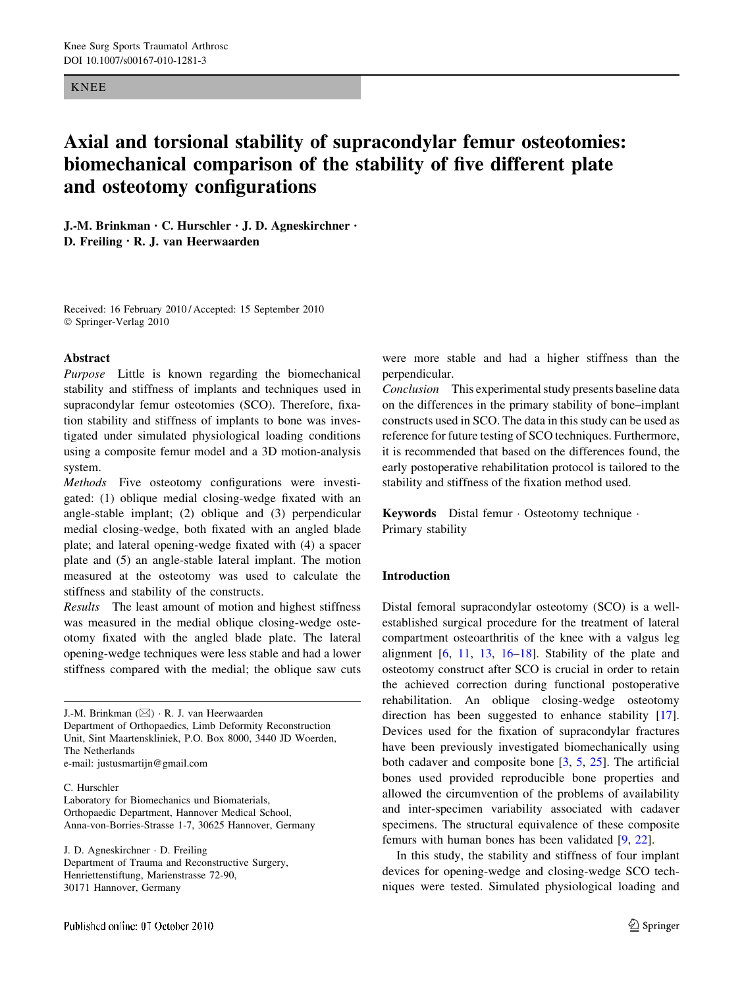#### KNEE

# Axial and torsional stability of supracondylar femur osteotomies: biomechanical comparison of the stability of five different plate and osteotomy configurations

J.-M. Brinkman • C. Hurschler • J. D. Agneskirchner • D. Freiling • R. J. van Heerwaarden

Received: 16 February 2010 / Accepted: 15 September 2010 © Springer-Verlag 2010

#### Abstract

Purpose Little is known regarding the biomechanical stability and stiffness of implants and techniques used in supracondylar femur osteotomies (SCO). Therefore, fixation stability and stiffness of implants to bone was investigated under simulated physiological loading conditions using a composite femur model and a 3D motion-analysis system.

Methods Five osteotomy configurations were investigated: (1) oblique medial closing-wedge fixated with an angle-stable implant; (2) oblique and (3) perpendicular medial closing-wedge, both fixated with an angled blade plate; and lateral opening-wedge fixated with (4) a spacer plate and (5) an angle-stable lateral implant. The motion measured at the osteotomy was used to calculate the stiffness and stability of the constructs.

Results The least amount of motion and highest stiffness was measured in the medial oblique closing-wedge osteotomy fixated with the angled blade plate. The lateral opening-wedge techniques were less stable and had a lower stiffness compared with the medial; the oblique saw cuts

J.-M. Brinkman ( $\boxtimes$ ) · R. J. van Heerwaarden Department of Orthopaedics, Limb Deformity Reconstruction Unit, Sint Maartenskliniek, P.O. Box 8000, 3440 JD Woerden, The Netherlands e-mail: justusmartijn@gmail.com

C. Hurschler

Laboratory for Biomechanics und Biomaterials, Orthopaedic Department, Hannover Medical School, Anna-von-Borries-Strasse 1-7, 30625 Hannover, Germany

J. D. Agneskirchner - D. Freiling Department of Trauma and Reconstructive Surgery, Henriettenstiftung, Marienstrasse 72-90, 30171 Hannover, Germany

were more stable and had a higher stiffness than the perpendicular.

Conclusion This experimental study presents baseline data on the differences in the primary stability of bone–implant constructs used in SCO. The data in this study can be used as reference for future testing of SCO techniques. Furthermore, it is recommended that based on the differences found, the early postoperative rehabilitation protocol is tailored to the stability and stiffness of the fixation method used.

Keywords Distal femur - Osteotomy technique - Primary stability

#### Introduction

Distal femoral supracondylar osteotomy (SCO) is a wellestablished surgical procedure for the treatment of lateral compartment osteoarthritis of the knee with a valgus leg alignment [6, 11, 13, 16–18]. Stability of the plate and osteotomy construct after SCO is crucial in order to retain the achieved correction during functional postoperative rehabilitation. An oblique closing-wedge osteotomy direction has been suggested to enhance stability [17]. Devices used for the fixation of supracondylar fractures have been previously investigated biomechanically using both cadaver and composite bone [3, 5, 25]. The artificial bones used provided reproducible bone properties and allowed the circumvention of the problems of availability and inter-specimen variability associated with cadaver specimens. The structural equivalence of these composite femurs with human bones has been validated [9, 22].

In this study, the stability and stiffness of four implant devices for opening-wedge and closing-wedge SCO techniques were tested. Simulated physiological loading and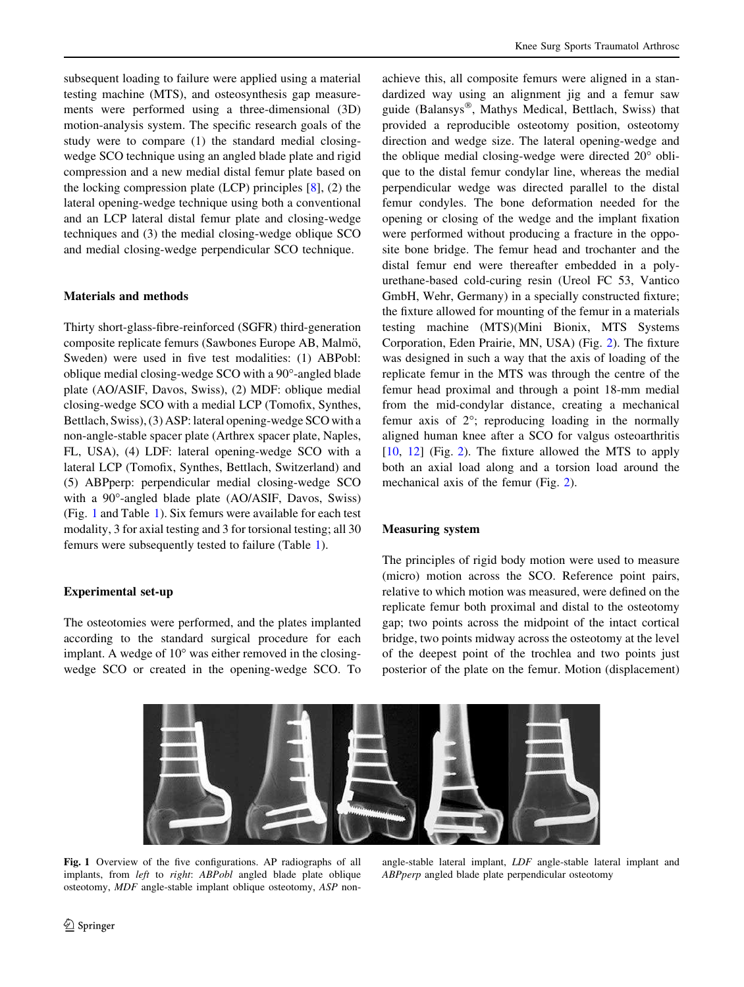subsequent loading to failure were applied using a material testing machine (MTS), and osteosynthesis gap measurements were performed using a three-dimensional (3D) motion-analysis system. The specific research goals of the study were to compare (1) the standard medial closingwedge SCO technique using an angled blade plate and rigid compression and a new medial distal femur plate based on the locking compression plate (LCP) principles  $[8]$ ,  $(2)$  the lateral opening-wedge technique using both a conventional and an LCP lateral distal femur plate and closing-wedge techniques and (3) the medial closing-wedge oblique SCO and medial closing-wedge perpendicular SCO technique.

## Materials and methods

Thirty short-glass-fibre-reinforced (SGFR) third-generation composite replicate femurs (Sawbones Europe AB, Malmö, Sweden) were used in five test modalities: (1) ABPobl: oblique medial closing-wedge SCO with a 90°-angled blade plate (AO/ASIF, Davos, Swiss), (2) MDF: oblique medial closing-wedge SCO with a medial LCP (Tomofix, Synthes, Bettlach, Swiss), (3) ASP: lateral opening-wedge SCO with a non-angle-stable spacer plate (Arthrex spacer plate, Naples, FL, USA), (4) LDF: lateral opening-wedge SCO with a lateral LCP (Tomofix, Synthes, Bettlach, Switzerland) and (5) ABPperp: perpendicular medial closing-wedge SCO with a 90°-angled blade plate (AO/ASIF, Davos, Swiss) (Fig. 1 and Table 1). Six femurs were available for each test modality, 3 for axial testing and 3 for torsional testing; all 30 femurs were subsequently tested to failure (Table 1).

## Experimental set-up

The osteotomies were performed, and the plates implanted according to the standard surgical procedure for each implant. A wedge of  $10^{\circ}$  was either removed in the closingwedge SCO or created in the opening-wedge SCO. To

achieve this, all composite femurs were aligned in a standardized way using an alignment jig and a femur saw guide (Balansys , Mathys Medical, Bettlach, Swiss) that provided a reproducible osteotomy position, osteotomy direction and wedge size. The lateral opening-wedge and the oblique medial closing-wedge were directed  $20^{\circ}$  oblique to the distal femur condylar line, whereas the medial perpendicular wedge was directed parallel to the distal femur condyles. The bone deformation needed for the opening or closing of the wedge and the implant fixation were performed without producing a fracture in the opposite bone bridge. The femur head and trochanter and the distal femur end were thereafter embedded in a polyurethane-based cold-curing resin (Ureol FC 53, Vantico GmbH, Wehr, Germany) in a specially constructed fixture; the fixture allowed for mounting of the femur in a materials testing machine (MTS)(Mini Bionix, MTS Systems Corporation, Eden Prairie, MN, USA) (Fig. 2). The fixture was designed in such a way that the axis of loading of the replicate femur in the MTS was through the centre of the femur head proximal and through a point 18-mm medial from the mid-condylar distance, creating a mechanical femur axis of  $2^{\circ}$ ; reproducing loading in the normally aligned human knee after a SCO for valgus osteoarthritis [10, 12] (Fig. 2). The fixture allowed the MTS to apply both an axial load along and a torsion load around the mechanical axis of the femur (Fig. 2).

## Measuring system

The principles of rigid body motion were used to measure (micro) motion across the SCO. Reference point pairs, relative to which motion was measured, were defined on the replicate femur both proximal and distal to the osteotomy gap; two points across the midpoint of the intact cortical bridge, two points midway across the osteotomy at the level of the deepest point of the trochlea and two points just posterior of the plate on the femur. Motion (displacement)



Fig. 1 Overview of the five configurations. AP radiographs of all implants, from left to right: ABPobl angled blade plate oblique osteotomy, MDF angle-stable implant oblique osteotomy, ASP non-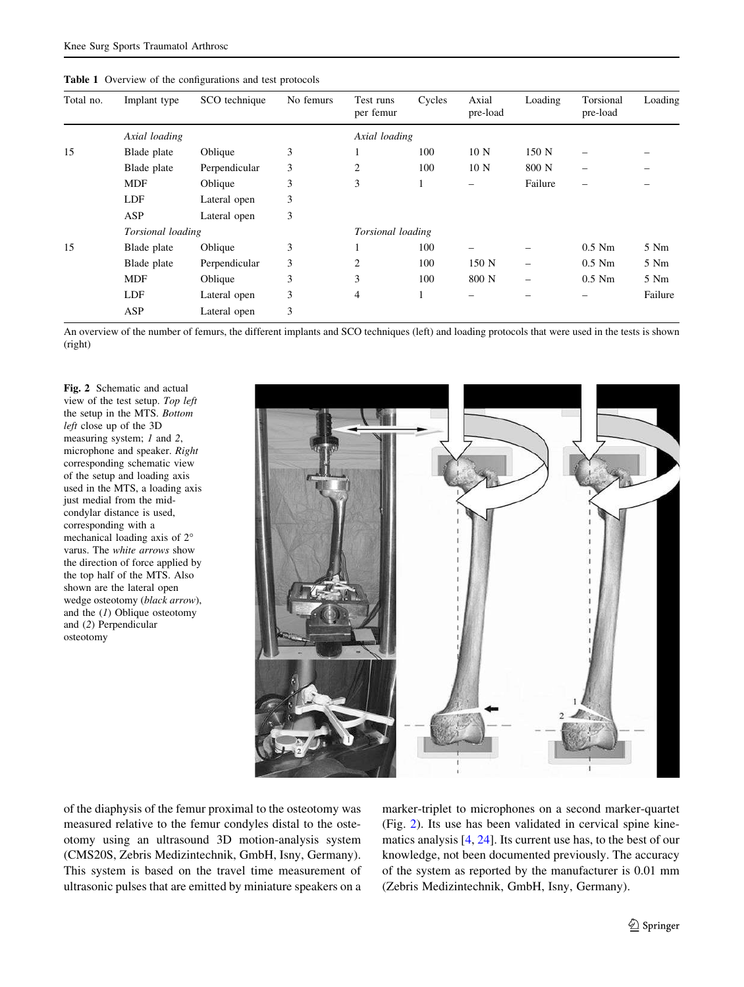|  |  |  | <b>Table 1</b> Overview of the configurations and test protocols |  |  |
|--|--|--|------------------------------------------------------------------|--|--|
|--|--|--|------------------------------------------------------------------|--|--|

| Total no. | Implant type      | SCO technique     | No femurs | Test runs<br>per femur | Cycles | Axial<br>pre-load | Loading         | Torsional<br>pre-load | Loading         |
|-----------|-------------------|-------------------|-----------|------------------------|--------|-------------------|-----------------|-----------------------|-----------------|
|           | Axial loading     |                   |           | Axial loading          |        |                   |                 |                       |                 |
| 15        | Blade plate       | Oblique           | 3         | 1                      | 100    | 10 N              | 150 N           |                       |                 |
|           | Blade plate       | Perpendicular     | 3         | 2                      | 100    | 10 N              | 800 N           |                       |                 |
|           | <b>MDF</b>        | Oblique           | 3         | 3                      | 1      | $=$               | Failure         |                       |                 |
|           | <b>LDF</b>        | Lateral open      | 3         |                        |        |                   |                 |                       |                 |
|           | ASP               | Lateral open      | 3         |                        |        |                   |                 |                       |                 |
|           | Torsional loading | Torsional loading |           |                        |        |                   |                 |                       |                 |
| 15        | Blade plate       | Oblique           | 3         |                        | 100    |                   |                 | $0.5$ Nm              | 5 Nm            |
|           | Blade plate       | Perpendicular     | 3         | 2                      | 100    | 150 N             | $\qquad \qquad$ | $0.5$ Nm              | $5 \mathrm{Nm}$ |
|           | <b>MDF</b>        | Oblique           | 3         | 3                      | 100    | 800 N             | $\qquad \qquad$ | $0.5$ Nm              | $5 \mathrm{Nm}$ |
|           | LDF               | Lateral open      | 3         | $\overline{4}$         | 1      | -                 |                 |                       | Failure         |
|           | ASP               | Lateral open      | 3         |                        |        |                   |                 |                       |                 |

An overview of the number of femurs, the different implants and SCO techniques (left) and loading protocols that were used in the tests is shown (right)

Fig. 2 Schematic and actual view of the test setup. Top left the setup in the MTS. Bottom left close up of the 3D measuring system; 1 and 2, microphone and speaker. Right corresponding schematic view of the setup and loading axis used in the MTS, a loading axis just medial from the midcondylar distance is used, corresponding with a mechanical loading axis of 2 varus. The white arrows show the direction of force applied by the top half of the MTS. Also shown are the lateral open wedge osteotomy (black arrow), and the (1) Oblique osteotomy and (2) Perpendicular osteotomy



of the diaphysis of the femur proximal to the osteotomy was measured relative to the femur condyles distal to the osteotomy using an ultrasound 3D motion-analysis system (CMS20S, Zebris Medizintechnik, GmbH, Isny, Germany). This system is based on the travel time measurement of ultrasonic pulses that are emitted by miniature speakers on a marker-triplet to microphones on a second marker-quartet (Fig. 2). Its use has been validated in cervical spine kinematics analysis [4, 24]. Its current use has, to the best of our knowledge, not been documented previously. The accuracy of the system as reported by the manufacturer is 0.01 mm (Zebris Medizintechnik, GmbH, Isny, Germany).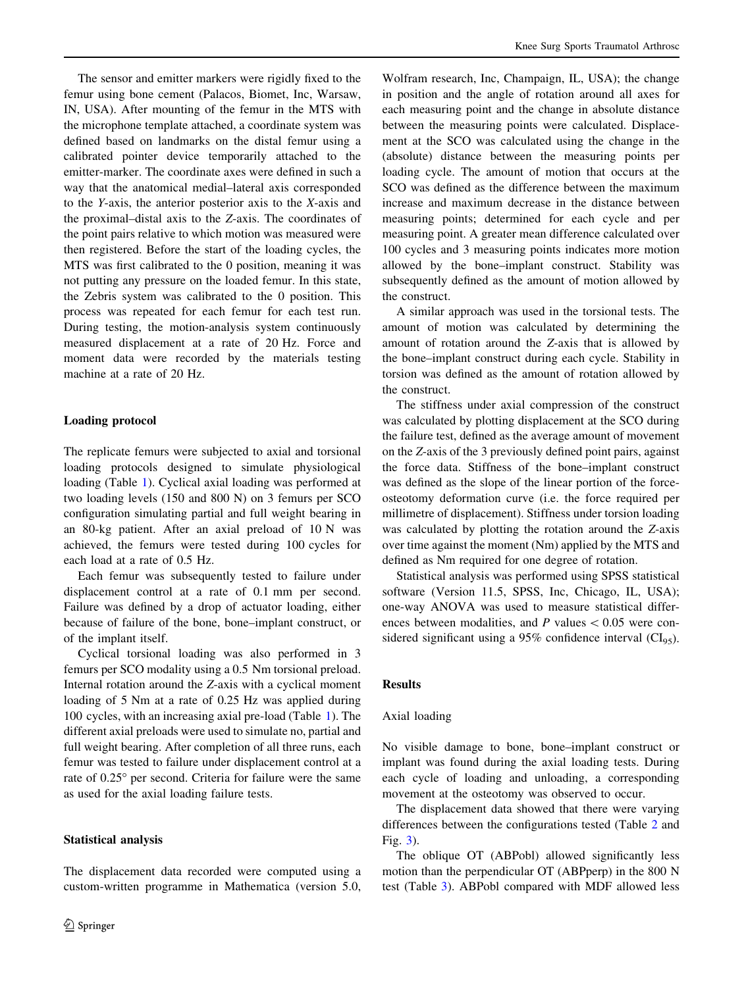The sensor and emitter markers were rigidly fixed to the femur using bone cement (Palacos, Biomet, Inc, Warsaw, IN, USA). After mounting of the femur in the MTS with the microphone template attached, a coordinate system was defined based on landmarks on the distal femur using a calibrated pointer device temporarily attached to the emitter-marker. The coordinate axes were defined in such a way that the anatomical medial–lateral axis corresponded to the Y-axis, the anterior posterior axis to the X-axis and the proximal–distal axis to the Z-axis. The coordinates of the point pairs relative to which motion was measured were then registered. Before the start of the loading cycles, the MTS was first calibrated to the 0 position, meaning it was not putting any pressure on the loaded femur. In this state, the Zebris system was calibrated to the 0 position. This process was repeated for each femur for each test run. During testing, the motion-analysis system continuously measured displacement at a rate of 20 Hz. Force and moment data were recorded by the materials testing machine at a rate of 20 Hz.

### Loading protocol

The replicate femurs were subjected to axial and torsional loading protocols designed to simulate physiological loading (Table 1). Cyclical axial loading was performed at two loading levels (150 and 800 N) on 3 femurs per SCO configuration simulating partial and full weight bearing in an 80-kg patient. After an axial preload of 10 N was achieved, the femurs were tested during 100 cycles for each load at a rate of 0.5 Hz.

Each femur was subsequently tested to failure under displacement control at a rate of 0.1 mm per second. Failure was defined by a drop of actuator loading, either because of failure of the bone, bone–implant construct, or of the implant itself.

Cyclical torsional loading was also performed in 3 femurs per SCO modality using a 0.5 Nm torsional preload. Internal rotation around the Z-axis with a cyclical moment loading of 5 Nm at a rate of 0.25 Hz was applied during 100 cycles, with an increasing axial pre-load (Table 1). The different axial preloads were used to simulate no, partial and full weight bearing. After completion of all three runs, each femur was tested to failure under displacement control at a rate of 0.25° per second. Criteria for failure were the same as used for the axial loading failure tests.

## Statistical analysis

The displacement data recorded were computed using a custom-written programme in Mathematica (version 5.0,

Wolfram research, Inc, Champaign, IL, USA); the change in position and the angle of rotation around all axes for each measuring point and the change in absolute distance between the measuring points were calculated. Displacement at the SCO was calculated using the change in the (absolute) distance between the measuring points per loading cycle. The amount of motion that occurs at the SCO was defined as the difference between the maximum increase and maximum decrease in the distance between measuring points; determined for each cycle and per measuring point. A greater mean difference calculated over 100 cycles and 3 measuring points indicates more motion allowed by the bone–implant construct. Stability was subsequently defined as the amount of motion allowed by the construct.

A similar approach was used in the torsional tests. The amount of motion was calculated by determining the amount of rotation around the Z-axis that is allowed by the bone–implant construct during each cycle. Stability in torsion was defined as the amount of rotation allowed by the construct.

The stiffness under axial compression of the construct was calculated by plotting displacement at the SCO during the failure test, defined as the average amount of movement on the Z-axis of the 3 previously defined point pairs, against the force data. Stiffness of the bone–implant construct was defined as the slope of the linear portion of the forceosteotomy deformation curve (i.e. the force required per millimetre of displacement). Stiffness under torsion loading was calculated by plotting the rotation around the Z-axis over time against the moment (Nm) applied by the MTS and defined as Nm required for one degree of rotation.

Statistical analysis was performed using SPSS statistical software (Version 11.5, SPSS, Inc, Chicago, IL, USA); one-way ANOVA was used to measure statistical differences between modalities, and P values  $< 0.05$  were considered significant using a 95% confidence interval  $(Cl_{95})$ .

#### **Results**

#### Axial loading

No visible damage to bone, bone–implant construct or implant was found during the axial loading tests. During each cycle of loading and unloading, a corresponding movement at the osteotomy was observed to occur.

The displacement data showed that there were varying differences between the configurations tested (Table 2 and Fig. 3).

The oblique OT (ABPobl) allowed significantly less motion than the perpendicular OT (ABPperp) in the 800 N test (Table 3). ABPobl compared with MDF allowed less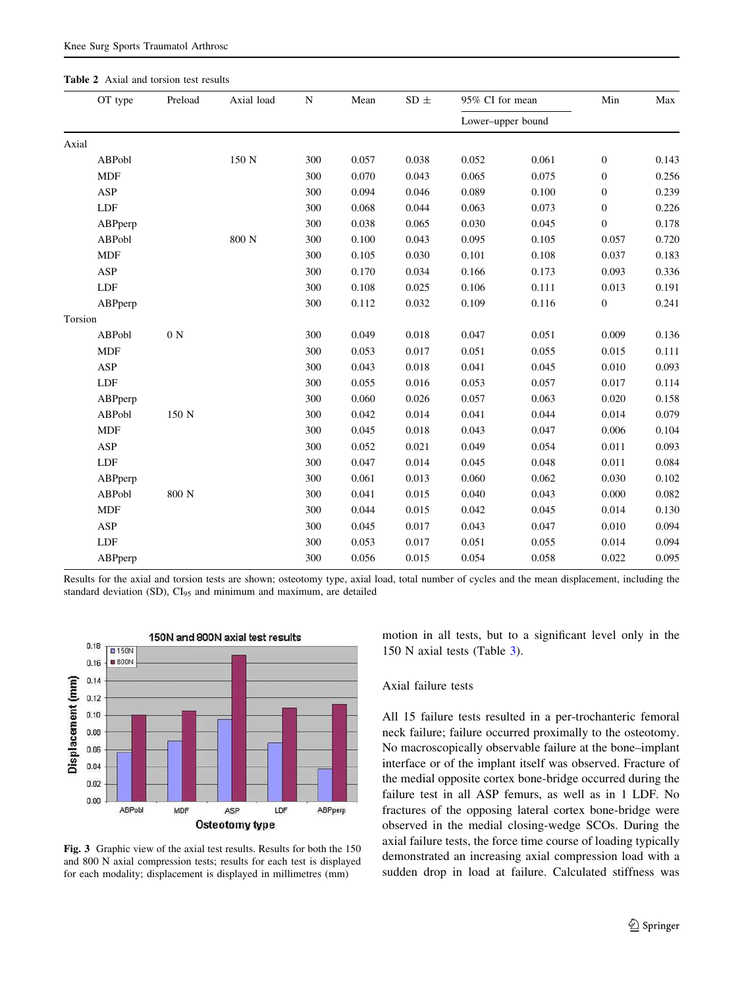| <b>Table 2</b> Axial and torsion test results |  |  |  |  |  |
|-----------------------------------------------|--|--|--|--|--|
|-----------------------------------------------|--|--|--|--|--|

| OT type | Preload    | Axial load      | ${\bf N}$ | Mean | SD $\pm$ |       | 95% CI for mean   |       | Max              |       |
|---------|------------|-----------------|-----------|------|----------|-------|-------------------|-------|------------------|-------|
|         |            |                 |           |      |          |       | Lower-upper bound |       |                  |       |
| Axial   |            |                 |           |      |          |       |                   |       |                  |       |
|         | ABPobl     |                 | 150 N     | 300  | 0.057    | 0.038 | 0.052             | 0.061 | $\boldsymbol{0}$ | 0.143 |
|         | <b>MDF</b> |                 |           | 300  | 0.070    | 0.043 | 0.065             | 0.075 | $\boldsymbol{0}$ | 0.256 |
|         | <b>ASP</b> |                 |           | 300  | 0.094    | 0.046 | 0.089             | 0.100 | $\boldsymbol{0}$ | 0.239 |
|         | LDF        |                 |           | 300  | 0.068    | 0.044 | 0.063             | 0.073 | $\boldsymbol{0}$ | 0.226 |
|         | ABPperp    |                 |           | 300  | 0.038    | 0.065 | 0.030             | 0.045 | $\boldsymbol{0}$ | 0.178 |
|         | ABPobl     |                 | 800 N     | 300  | 0.100    | 0.043 | 0.095             | 0.105 | 0.057            | 0.720 |
|         | <b>MDF</b> |                 |           | 300  | 0.105    | 0.030 | 0.101             | 0.108 | 0.037            | 0.183 |
|         | ASP        |                 |           | 300  | 0.170    | 0.034 | 0.166             | 0.173 | 0.093            | 0.336 |
|         | LDF        |                 |           | 300  | 0.108    | 0.025 | 0.106             | 0.111 | 0.013            | 0.191 |
|         | ABPperp    |                 |           | 300  | 0.112    | 0.032 | 0.109             | 0.116 | $\mathbf{0}$     | 0.241 |
| Torsion |            |                 |           |      |          |       |                   |       |                  |       |
|         | ABPobl     | $0\ \mathrm{N}$ |           | 300  | 0.049    | 0.018 | 0.047             | 0.051 | 0.009            | 0.136 |
|         | <b>MDF</b> |                 |           | 300  | 0.053    | 0.017 | 0.051             | 0.055 | 0.015            | 0.111 |
|         | <b>ASP</b> |                 |           | 300  | 0.043    | 0.018 | 0.041             | 0.045 | 0.010            | 0.093 |
|         | LDF        |                 |           | 300  | 0.055    | 0.016 | 0.053             | 0.057 | 0.017            | 0.114 |
|         | ABPperp    |                 |           | 300  | 0.060    | 0.026 | 0.057             | 0.063 | 0.020            | 0.158 |
|         | ABPobl     | 150 N           |           | 300  | 0.042    | 0.014 | 0.041             | 0.044 | 0.014            | 0.079 |
|         | <b>MDF</b> |                 |           | 300  | 0.045    | 0.018 | 0.043             | 0.047 | 0.006            | 0.104 |
|         | ASP        |                 |           | 300  | 0.052    | 0.021 | 0.049             | 0.054 | 0.011            | 0.093 |
|         | <b>LDF</b> |                 |           | 300  | 0.047    | 0.014 | 0.045             | 0.048 | 0.011            | 0.084 |
|         | ABPperp    |                 |           | 300  | 0.061    | 0.013 | 0.060             | 0.062 | 0.030            | 0.102 |
|         | ABPobl     | 800 N           |           | 300  | 0.041    | 0.015 | 0.040             | 0.043 | 0.000            | 0.082 |
|         | <b>MDF</b> |                 |           | 300  | 0.044    | 0.015 | 0.042             | 0.045 | 0.014            | 0.130 |
|         | <b>ASP</b> |                 |           | 300  | 0.045    | 0.017 | 0.043             | 0.047 | 0.010            | 0.094 |
|         | LDF        |                 |           | 300  | 0.053    | 0.017 | 0.051             | 0.055 | 0.014            | 0.094 |
|         | ABPperp    |                 |           | 300  | 0.056    | 0.015 | 0.054             | 0.058 | 0.022            | 0.095 |

Results for the axial and torsion tests are shown; osteotomy type, axial load, total number of cycles and the mean displacement, including the standard deviation (SD),  $CI_{95}$  and minimum and maximum, are detailed



Fig. 3 Graphic view of the axial test results. Results for both the 150 and 800 N axial compression tests; results for each test is displayed for each modality; displacement is displayed in millimetres (mm)

motion in all tests, but to a significant level only in the 150 N axial tests (Table 3).

#### Axial failure tests

All 15 failure tests resulted in a per-trochanteric femoral neck failure; failure occurred proximally to the osteotomy. No macroscopically observable failure at the bone–implant interface or of the implant itself was observed. Fracture of the medial opposite cortex bone-bridge occurred during the failure test in all ASP femurs, as well as in 1 LDF. No fractures of the opposing lateral cortex bone-bridge were observed in the medial closing-wedge SCOs. During the axial failure tests, the force time course of loading typically demonstrated an increasing axial compression load with a sudden drop in load at failure. Calculated stiffness was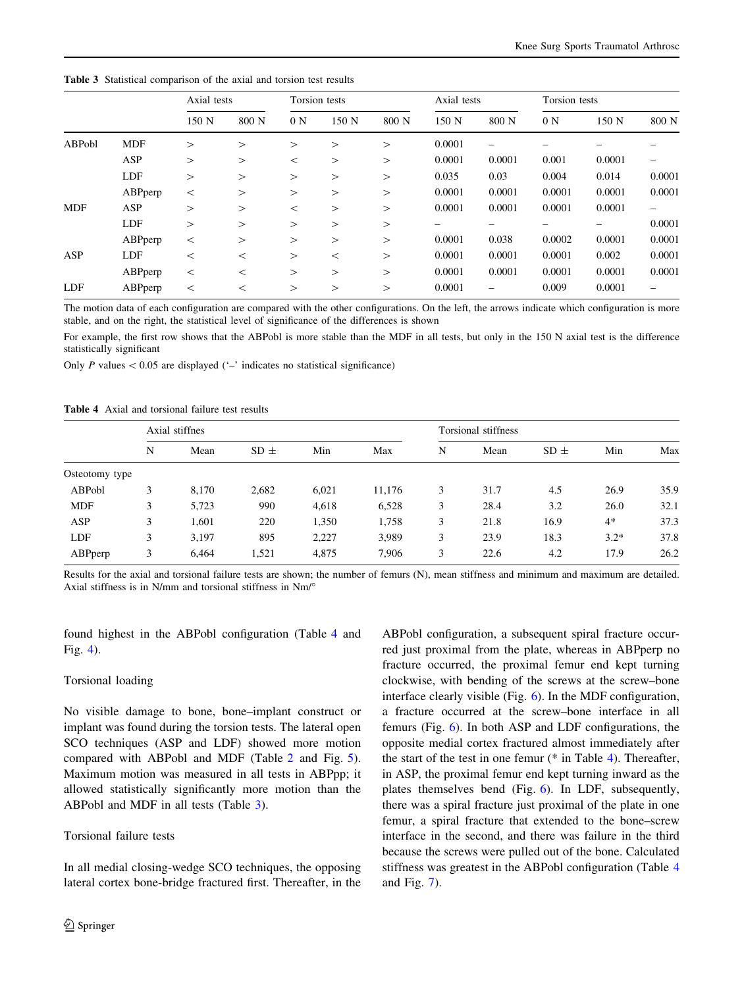Table 3 Statistical comparison of the axial and torsion test results

|            |            | Axial tests |         | Torsion tests |          |        | Axial tests |                          | Torsion tests |        |                          |
|------------|------------|-------------|---------|---------------|----------|--------|-------------|--------------------------|---------------|--------|--------------------------|
|            |            | 150 N       | 800 N   | 0 N           | 150 N    | 800 N  | 150 N       | 800 N                    | 0 N           | 150 N  | 800 N                    |
| ABPobl     | <b>MDF</b> | $\geq$      | $\geq$  | >             | $\gt$    | $\geq$ | 0.0001      |                          |               |        |                          |
|            | ASP        | $\geq$      | $\geq$  | $\,<\,$       | $\geq$   | $\geq$ | 0.0001      | 0.0001                   | 0.001         | 0.0001 |                          |
|            | LDF        | $\geq$      | $\geq$  | $\rm{>}$      | >        | $\geq$ | 0.035       | 0.03                     | 0.004         | 0.014  | 0.0001                   |
|            | ABPperp    | $\,<$       | >       | >             | $\gt$    | >      | 0.0001      | 0.0001                   | 0.0001        | 0.0001 | 0.0001                   |
| <b>MDF</b> | ASP        | $\!>$       | $\!>$   | $\,<$         | $\rm{>}$ | $\geq$ | 0.0001      | 0.0001                   | 0.0001        | 0.0001 | $\overline{\phantom{0}}$ |
|            | LDF        | $\geq$      | $\geq$  | $\rm{>}$      | $\geq$   | $\geq$ |             |                          |               |        | 0.0001                   |
|            | ABPperp    | $\,<\,$     | $\geq$  | $\geq$        | $\geq$   | $\geq$ | 0.0001      | 0.038                    | 0.0002        | 0.0001 | 0.0001                   |
| ASP        | <b>LDF</b> | $\,<\,$     | $\,<$   | $\rm{>}$      | $\,<$    | $\geq$ | 0.0001      | 0.0001                   | 0.0001        | 0.002  | 0.0001                   |
|            | ABPperp    | $\,<$       | $\,<\,$ | >             | $\geq$   | >      | 0.0001      | 0.0001                   | 0.0001        | 0.0001 | 0.0001                   |
| <b>LDF</b> | ABPperp    | $\,<\,$     | $\,<$   | >             | $\gt$    | >      | 0.0001      | $\overline{\phantom{0}}$ | 0.009         | 0.0001 | $\overline{\phantom{0}}$ |

The motion data of each configuration are compared with the other configurations. On the left, the arrows indicate which configuration is more stable, and on the right, the statistical level of significance of the differences is shown

For example, the first row shows that the ABPobl is more stable than the MDF in all tests, but only in the 150 N axial test is the difference statistically significant

Only P values  $< 0.05$  are displayed ( $\dot{-}$  indicates no statistical significance)

Table 4 Axial and torsional failure test results

|                |   | Axial stiffnes |          |       |        |   | Torsional stiffness |          |        |      |  |  |
|----------------|---|----------------|----------|-------|--------|---|---------------------|----------|--------|------|--|--|
|                | N | Mean           | $SD \pm$ | Min   | Max    | N | Mean                | $SD \pm$ | Min    | Max  |  |  |
| Osteotomy type |   |                |          |       |        |   |                     |          |        |      |  |  |
| ABPobl         | 3 | 8,170          | 2,682    | 6,021 | 11,176 | 3 | 31.7                | 4.5      | 26.9   | 35.9 |  |  |
| <b>MDF</b>     | 3 | 5,723          | 990      | 4.618 | 6,528  | 3 | 28.4                | 3.2      | 26.0   | 32.1 |  |  |
| <b>ASP</b>     | 3 | 1,601          | 220      | 1,350 | 1,758  | 3 | 21.8                | 16.9     | $4*$   | 37.3 |  |  |
| LDF            | 3 | 3.197          | 895      | 2,227 | 3,989  | 3 | 23.9                | 18.3     | $3.2*$ | 37.8 |  |  |
| ABPperp        | 3 | 6.464          | 1,521    | 4,875 | 7.906  | 3 | 22.6                | 4.2      | 17.9   | 26.2 |  |  |

Results for the axial and torsional failure tests are shown; the number of femurs (N), mean stiffness and minimum and maximum are detailed. Axial stiffness is in N/mm and torsional stiffness in Nm/

found highest in the ABPobl configuration (Table 4 and Fig. 4).

#### Torsional loading

No visible damage to bone, bone–implant construct or implant was found during the torsion tests. The lateral open SCO techniques (ASP and LDF) showed more motion compared with ABPobl and MDF (Table 2 and Fig. 5). Maximum motion was measured in all tests in ABPpp; it allowed statistically significantly more motion than the ABPobl and MDF in all tests (Table 3).

## Torsional failure tests

In all medial closing-wedge SCO techniques, the opposing lateral cortex bone-bridge fractured first. Thereafter, in the ABPobl configuration, a subsequent spiral fracture occurred just proximal from the plate, whereas in ABPperp no fracture occurred, the proximal femur end kept turning clockwise, with bending of the screws at the screw–bone interface clearly visible (Fig. 6). In the MDF configuration, a fracture occurred at the screw–bone interface in all femurs (Fig. 6). In both ASP and LDF configurations, the opposite medial cortex fractured almost immediately after the start of the test in one femur (\* in Table 4). Thereafter, in ASP, the proximal femur end kept turning inward as the plates themselves bend (Fig. 6). In LDF, subsequently, there was a spiral fracture just proximal of the plate in one femur, a spiral fracture that extended to the bone–screw interface in the second, and there was failure in the third because the screws were pulled out of the bone. Calculated stiffness was greatest in the ABPobl configuration (Table 4 and Fig. 7).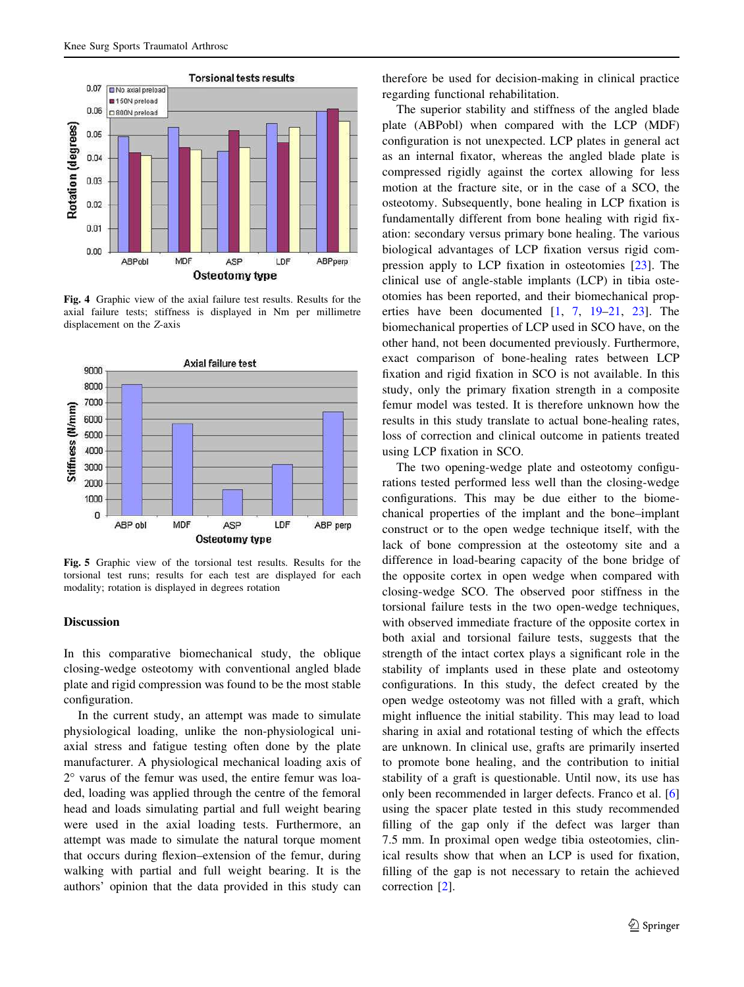

Fig. 4 Graphic view of the axial failure test results. Results for the axial failure tests; stiffness is displayed in Nm per millimetre displacement on the Z-axis



Fig. 5 Graphic view of the torsional test results. Results for the torsional test runs; results for each test are displayed for each modality; rotation is displayed in degrees rotation

#### **Discussion**

In this comparative biomechanical study, the oblique closing-wedge osteotomy with conventional angled blade plate and rigid compression was found to be the most stable configuration.

In the current study, an attempt was made to simulate physiological loading, unlike the non-physiological uniaxial stress and fatigue testing often done by the plate manufacturer. A physiological mechanical loading axis of  $2^{\circ}$  varus of the femur was used, the entire femur was loaded, loading was applied through the centre of the femoral head and loads simulating partial and full weight bearing were used in the axial loading tests. Furthermore, an attempt was made to simulate the natural torque moment that occurs during flexion–extension of the femur, during walking with partial and full weight bearing. It is the authors' opinion that the data provided in this study can

therefore be used for decision-making in clinical practice regarding functional rehabilitation.

The superior stability and stiffness of the angled blade plate (ABPobl) when compared with the LCP (MDF) configuration is not unexpected. LCP plates in general act as an internal fixator, whereas the angled blade plate is compressed rigidly against the cortex allowing for less motion at the fracture site, or in the case of a SCO, the osteotomy. Subsequently, bone healing in LCP fixation is fundamentally different from bone healing with rigid fixation: secondary versus primary bone healing. The various biological advantages of LCP fixation versus rigid compression apply to LCP fixation in osteotomies [23]. The clinical use of angle-stable implants (LCP) in tibia osteotomies has been reported, and their biomechanical properties have been documented [1, 7, 19–21, 23]. The biomechanical properties of LCP used in SCO have, on the other hand, not been documented previously. Furthermore, exact comparison of bone-healing rates between LCP fixation and rigid fixation in SCO is not available. In this study, only the primary fixation strength in a composite femur model was tested. It is therefore unknown how the results in this study translate to actual bone-healing rates, loss of correction and clinical outcome in patients treated using LCP fixation in SCO.

The two opening-wedge plate and osteotomy configurations tested performed less well than the closing-wedge configurations. This may be due either to the biomechanical properties of the implant and the bone–implant construct or to the open wedge technique itself, with the lack of bone compression at the osteotomy site and a difference in load-bearing capacity of the bone bridge of the opposite cortex in open wedge when compared with closing-wedge SCO. The observed poor stiffness in the torsional failure tests in the two open-wedge techniques, with observed immediate fracture of the opposite cortex in both axial and torsional failure tests, suggests that the strength of the intact cortex plays a significant role in the stability of implants used in these plate and osteotomy configurations. In this study, the defect created by the open wedge osteotomy was not filled with a graft, which might influence the initial stability. This may lead to load sharing in axial and rotational testing of which the effects are unknown. In clinical use, grafts are primarily inserted to promote bone healing, and the contribution to initial stability of a graft is questionable. Until now, its use has only been recommended in larger defects. Franco et al. [6] using the spacer plate tested in this study recommended filling of the gap only if the defect was larger than 7.5 mm. In proximal open wedge tibia osteotomies, clinical results show that when an LCP is used for fixation, filling of the gap is not necessary to retain the achieved correction [2].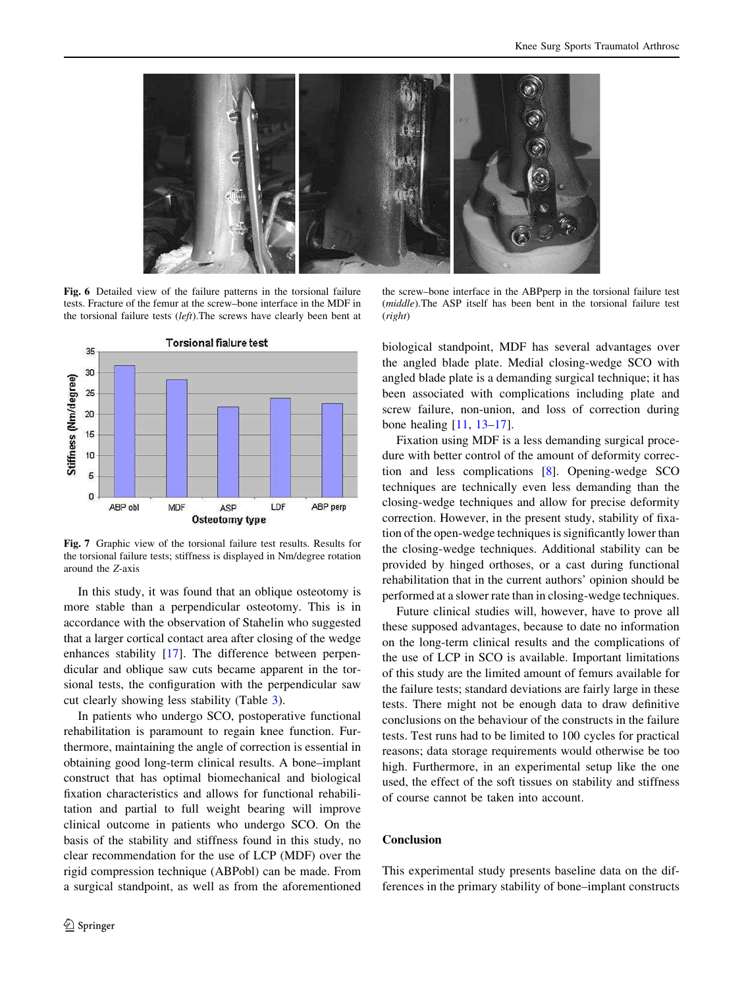

Fig. 6 Detailed view of the failure patterns in the torsional failure tests. Fracture of the femur at the screw–bone interface in the MDF in the torsional failure tests (left).The screws have clearly been bent at



Fig. 7 Graphic view of the torsional failure test results. Results for the torsional failure tests; stiffness is displayed in Nm/degree rotation around the Z-axis

In this study, it was found that an oblique osteotomy is more stable than a perpendicular osteotomy. This is in accordance with the observation of Stahelin who suggested that a larger cortical contact area after closing of the wedge enhances stability [17]. The difference between perpendicular and oblique saw cuts became apparent in the torsional tests, the configuration with the perpendicular saw cut clearly showing less stability (Table 3).

In patients who undergo SCO, postoperative functional rehabilitation is paramount to regain knee function. Furthermore, maintaining the angle of correction is essential in obtaining good long-term clinical results. A bone–implant construct that has optimal biomechanical and biological fixation characteristics and allows for functional rehabilitation and partial to full weight bearing will improve clinical outcome in patients who undergo SCO. On the basis of the stability and stiffness found in this study, no clear recommendation for the use of LCP (MDF) over the rigid compression technique (ABPobl) can be made. From a surgical standpoint, as well as from the aforementioned

the screw–bone interface in the ABPperp in the torsional failure test (middle).The ASP itself has been bent in the torsional failure test (right)

biological standpoint, MDF has several advantages over the angled blade plate. Medial closing-wedge SCO with angled blade plate is a demanding surgical technique; it has been associated with complications including plate and screw failure, non-union, and loss of correction during bone healing [11, 13–17].

Fixation using MDF is a less demanding surgical procedure with better control of the amount of deformity correction and less complications [8]. Opening-wedge SCO techniques are technically even less demanding than the closing-wedge techniques and allow for precise deformity correction. However, in the present study, stability of fixation of the open-wedge techniques is significantly lower than the closing-wedge techniques. Additional stability can be provided by hinged orthoses, or a cast during functional rehabilitation that in the current authors' opinion should be performed at a slower rate than in closing-wedge techniques.

Future clinical studies will, however, have to prove all these supposed advantages, because to date no information on the long-term clinical results and the complications of the use of LCP in SCO is available. Important limitations of this study are the limited amount of femurs available for the failure tests; standard deviations are fairly large in these tests. There might not be enough data to draw definitive conclusions on the behaviour of the constructs in the failure tests. Test runs had to be limited to 100 cycles for practical reasons; data storage requirements would otherwise be too high. Furthermore, in an experimental setup like the one used, the effect of the soft tissues on stability and stiffness of course cannot be taken into account.

## Conclusion

This experimental study presents baseline data on the differences in the primary stability of bone–implant constructs